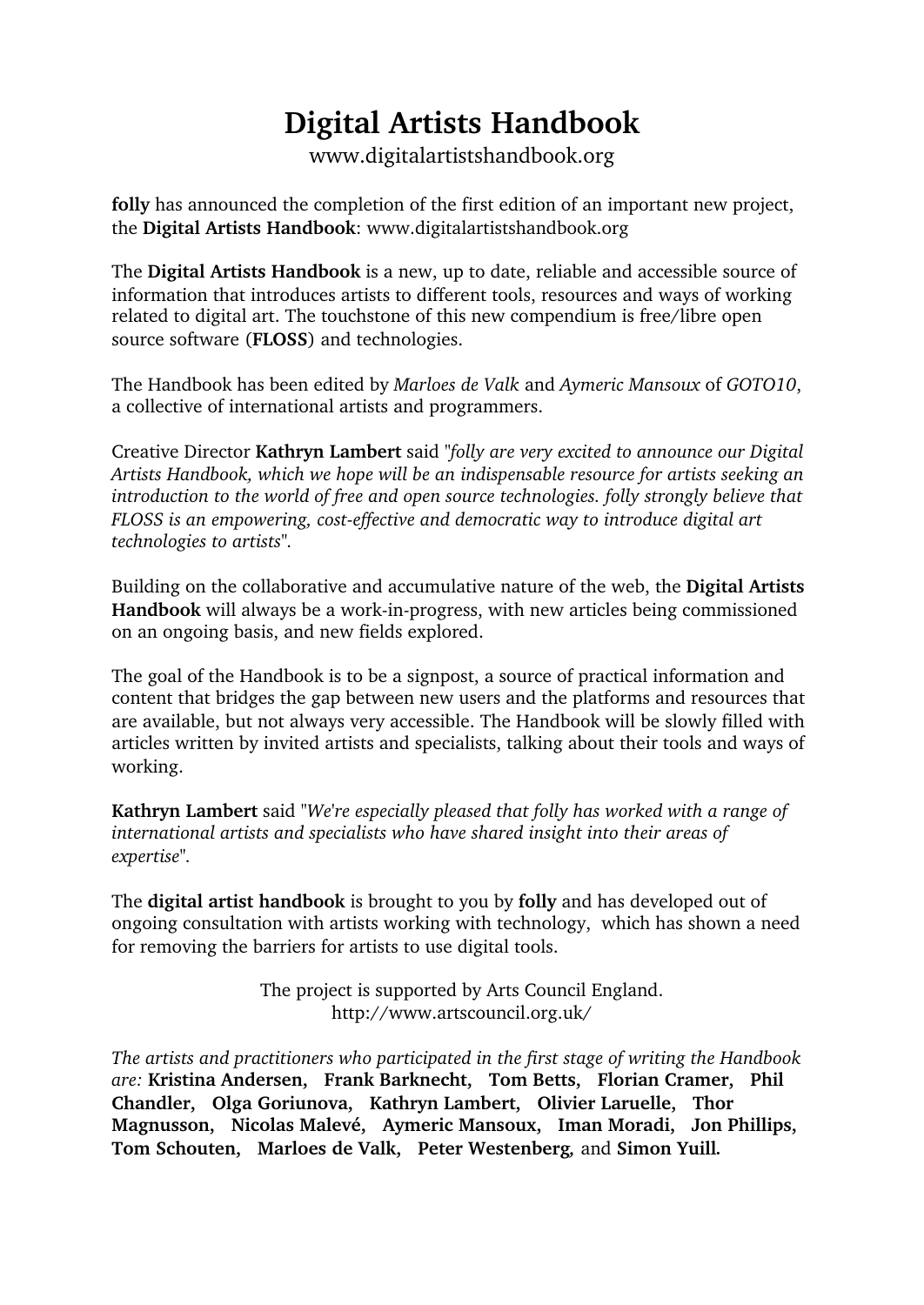## **Digital Artists Handbook**

www.digitalartistshandbook.org

**folly** has announced the completion of the first edition of an important new project, the **Digital Artists Handbook**: www.digitalartistshandbook.org

The **Digital Artists Handbook** is a new, up to date, reliable and accessible source of information that introduces artists to different tools, resources and ways of working related to digital art. The touchstone of this new compendium is free/libre open source software (**FLOSS**) and technologies.

The Handbook has been edited by *Marloes de Valk* and *Aymeric Mansoux* of *GOTO10*, a collective of international artists and programmers.

Creative Director **Kathryn Lambert** said *"folly are very excited to announce our Digital Artists Handbook, which we hope will be an indispensable resource for artists seeking an introduction to the world of free and open source technologies. folly strongly believe that FLOSS is an empowering, cost-effective and democratic way to introduce digital art technologies to artists".*

Building on the collaborative and accumulative nature of the web, the **Digital Artists Handbook** will always be a work-in-progress, with new articles being commissioned on an ongoing basis, and new fields explored.

The goal of the Handbook is to be a signpost, a source of practical information and content that bridges the gap between new users and the platforms and resources that are available, but not always very accessible. The Handbook will be slowly filled with articles written by invited artists and specialists, talking about their tools and ways of working.

**Kathryn Lambert** said *"We're especially pleased that folly has worked with a range of international artists and specialists who have shared insight into their areas of expertise".*

The **digital artist handbook** is brought to you by **folly** and has developed out of ongoing consultation with artists working with technology, which has shown a need for removing the barriers for artists to use digital tools.

> The project is supported by Arts Council England. http://www.artscouncil.org.uk/

*The artists and practitioners who participated in the first stage of writing the Handbook are:* **Kristina Andersen, Frank Barknecht, Tom Betts, Florian Cramer, Phil Chandler, Olga Goriunova, Kathryn Lambert, Olivier Laruelle, Thor Magnusson, Nicolas Malevé, Aymeric Mansoux, Iman Moradi, Jon Phillips, Tom Schouten, Marloes de Valk, Peter Westenberg***,* and **Simon Yuill***.*